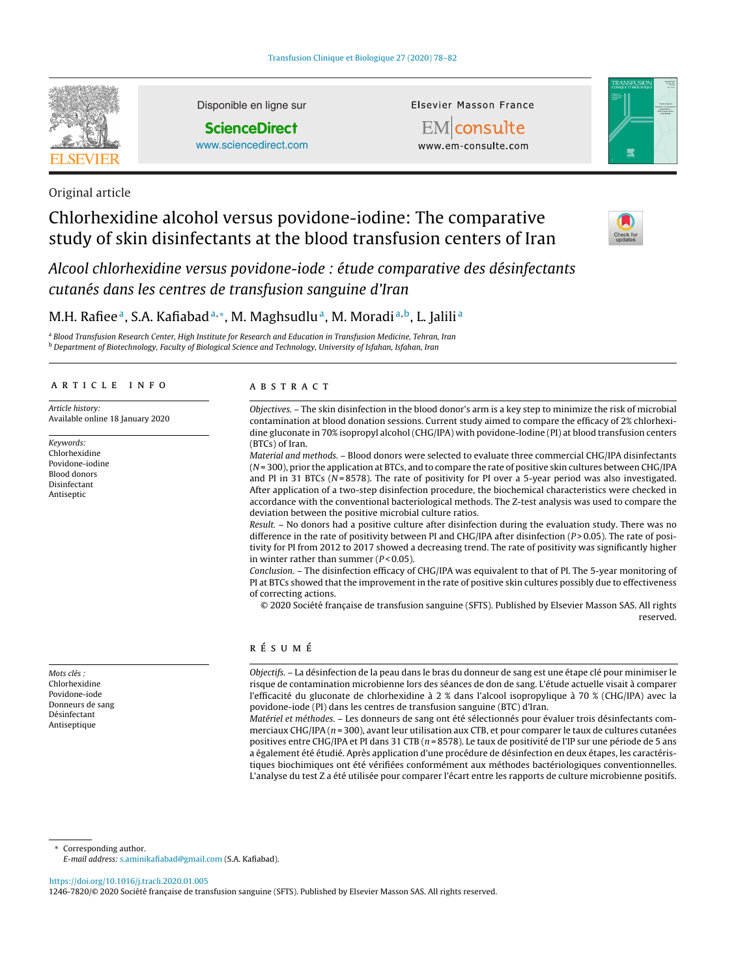

Disponible en ligne sur

**ScienceDirect** [www.sciencedirect.com](http://www.sciencedirect.com/science/journal/12467820) Elsevier Masson France

EMconsulte www.em-consulte.com



Original article

# Chlorhexidine alcohol versus povidone-iodine: The comparative study of skin disinfectants at the blood transfusion centers of Iran



Alcool chlorhexidine versus povidone-iode : étude comparative des désinfectants cutanés dans les centres de transfusion sanguine d'Iran

## M.H. Rafiee<sup>a</sup>, S.A. Kafiabad<sup>a,∗</sup>, M. Maghsudlu<sup>a</sup>, M. Moradi<sup>a,b</sup>, L. Jalili<sup>a</sup>

<sup>a</sup> Blood Transfusion Research Center, High Institute for Research and Education in Transfusion Medicine, Tehran, Iran **b Department of Biotechnology, Faculty of Biological Science and Technology, University of Isfahan, Isfahan, Iran** 

#### a r t i c l e i n f o

Article history: Available online 18 January 2020

Keywords: Chlorhexidine Povidone-iodine Blood donors Disinfectant Antiseptic

Mots clés : Chlorhexidine Povidone-iode Donneurs de sang Désinfectant Antiseptique

a b s t r a c t

Objectives. – The skin disinfection in the blood donor's arm is a key step to minimize the risk of microbial contamination at blood donation sessions. Current study aimed to compare the efficacy of 2% chlorhexidine gluconate in 70% isopropyl alcohol (CHG/IPA) with povidone-Iodine (PI) at blood transfusion centers (BTCs) of Iran.

Material and methods. – Blood donors were selected to evaluate three commercial CHG/IPA disinfectants  $(N=300)$ , prior the application at BTCs, and to compare the rate of positive skin cultures between CHG/IPA and PI in 31 BTCs ( $N = 8578$ ). The rate of positivity for PI over a 5-year period was also investigated. After application of a two-step disinfection procedure, the biochemical characteristics were checked in accordance with the conventional bacteriological methods. The Z-test analysis was used to compare the deviation between the positive microbial culture ratios.

Result. – No donors had a positive culture after disinfection during the evaluation study. There was no difference in the rate of positivity between PI and CHG/IPA after disinfection (P > 0.05). The rate of positivity for PI from 2012 to 2017 showed a decreasing trend. The rate of positivity was significantly higher in winter rather than summer  $(P < 0.05)$ .

Conclusion. – The disinfection efficacy of CHG/IPA was equivalent to that of PI. The 5-year monitoring of PI at BTCs showed that the improvement in the rate of positive skin cultures possibly due to effectiveness of correcting actions.

© 2020 Société française de transfusion sanguine (SFTS). Published by Elsevier Masson SAS. All rights reserved.

## r é s u m é

Objectifs. – La désinfection de la peau dans le bras du donneur de sang est une étape clé pour minimiser le risque de contamination microbienne lors des séances de don de sang. L'étude actuelle visait à comparer l'efficacité du gluconate de chlorhexidine à 2 % dans l'alcool isopropylique à 70 % (CHG/IPA) avec la povidone-iode (PI) dans les centres de transfusion sanguine (BTC) d'Iran.

Matériel et méthodes. – Les donneurs de sang ont été sélectionnés pour évaluer trois désinfectants commerciaux CHG/IPA ( $n = 300$ ), avant leur utilisation aux CTB, et pour comparer le taux de cultures cutanées positives entre CHG/IPA et PI dans 31 CTB (n = 8578). Le taux de positivité de l'IP sur une période de 5 ans a également été étudié. Après application d'une procédure de désinfection en deux étapes, les caractéristiques biochimiques ont été vérifiées conformément aux méthodes bactériologiques conventionnelles. L'analyse du test Z a été utilisée pour comparer l'écart entre les rapports de culture microbienne positifs.

Corresponding author.

E-mail address: [s.aminikafiabad@gmail.com](mailto:s.aminikafiabad@gmail.com) (S.A. Kafiabad).

<https://doi.org/10.1016/j.tracli.2020.01.005>

1246-7820/© 2020 Société française de transfusion sanguine (SFTS). Published by Elsevier Masson SAS. All rights reserved.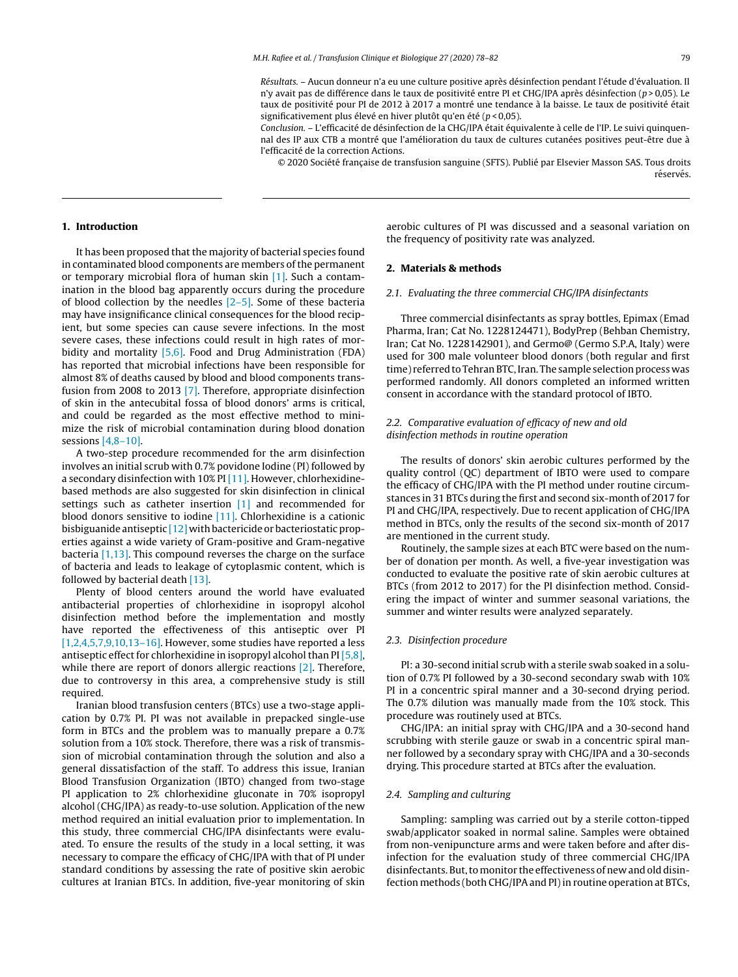Conclusion. – L'efficacité de désinfection de la CHG/IPA était équivalente à celle de l'IP. Le suivi quinquennal des IP aux CTB a montré que l'amélioration du taux de cultures cutanées positives peut-être due à l'efficacité de la correction Actions.

© 2020 Société française de transfusion sanguine (SFTS). Publié par Elsevier Masson SAS. Tous droits réservés.

## **1. Introduction**

It has been proposed that the majority of bacterial species found in contaminated blood components are members of the permanent or temporary microbial flora of human skin [\[1\].](#page-4-0) Such a contamination in the blood bag apparently occurs during the procedure of blood collection by the needles  $[2-5]$ . Some of these bacteria may have insignificance clinical consequences for the blood recipient, but some species can cause severe infections. In the most severe cases, these infections could result in high rates of mor-bidity and mortality [\[5,6\].](#page-4-0) Food and Drug Administration (FDA) has reported that microbial infections have been responsible for almost 8% of deaths caused by blood and blood components transfusion from 2008 to 2013 [\[7\].](#page-4-0) Therefore, appropriate disinfection of skin in the antecubital fossa of blood donors' arms is critical, and could be regarded as the most effective method to minimize the risk of microbial contamination during blood donation sessions  $[4,8-10]$ .

A two-step procedure recommended for the arm disinfection involves an initial scrub with 0.7% povidone Iodine (PI) followed by a secondary disinfection with 10% PI [\[11\].](#page-4-0) However, chlorhexidinebased methods are also suggested for skin disinfection in clinical settings such as catheter insertion [\[1\]](#page-4-0) and recommended for blood donors sensitive to iodine [\[11\].](#page-4-0) Chlorhexidine is a cationic bisbiguanide antiseptic  $[12]$  with bactericide or bacteriostatic properties against a wide variety of Gram-positive and Gram-negative bacteria [\[1,13\].](#page-4-0) This compound reverses the charge on the surface of bacteria and leads to leakage of cytoplasmic content, which is followed by bacterial death [\[13\].](#page-4-0)

Plenty of blood centers around the world have evaluated antibacterial properties of chlorhexidine in isopropyl alcohol disinfection method before the implementation and mostly have reported the effectiveness of this antiseptic over PI [\[1,2,4,5,7,9,10,13–16\].](#page-4-0) However, some studies have reported a less antiseptic effect for chlorhexidine in isopropyl alcohol than PI  $[5,8]$ , while there are report of donors allergic reactions [\[2\].](#page-4-0) Therefore, due to controversy in this area, a comprehensive study is still required.

Iranian blood transfusion centers (BTCs) use a two-stage application by 0.7% PI. PI was not available in prepacked single-use form in BTCs and the problem was to manually prepare a 0.7% solution from a 10% stock. Therefore, there was a risk of transmission of microbial contamination through the solution and also a general dissatisfaction of the staff. To address this issue, Iranian Blood Transfusion Organization (IBTO) changed from two-stage PI application to 2% chlorhexidine gluconate in 70% isopropyl alcohol (CHG/IPA) as ready-to-use solution. Application of the new method required an initial evaluation prior to implementation. In this study, three commercial CHG/IPA disinfectants were evaluated. To ensure the results of the study in a local setting, it was necessary to compare the efficacy of CHG/IPA with that of PI under standard conditions by assessing the rate of positive skin aerobic cultures at Iranian BTCs. In addition, five-year monitoring of skin

aerobic cultures of PI was discussed and a seasonal variation on the frequency of positivity rate was analyzed.

#### **2. Materials & methods**

#### 2.1. Evaluating the three commercial CHG/IPA disinfectants

Three commercial disinfectants as spray bottles, Epimax (Emad Pharma, Iran; Cat No. 1228124471), BodyPrep (Behban Chemistry, Iran; Cat No. 1228142901), and Germo@ (Germo S.P.A, Italy) were used for 300 male volunteer blood donors (both regular and first time) referred to Tehran BTC, Iran. The sample selection process was performed randomly. All donors completed an informed written consent in accordance with the standard protocol of IBTO.

## 2.2. Comparative evaluation of efficacy of new and old disinfection methods in routine operation

The results of donors' skin aerobic cultures performed by the quality control (QC) department of IBTO were used to compare the efficacy of CHG/IPA with the PI method under routine circumstances in 31 BTCs during the first and second six-month of 2017 for PI and CHG/IPA, respectively. Due to recent application of CHG/IPA method in BTCs, only the results of the second six-month of 2017 are mentioned in the current study.

Routinely, the sample sizes at each BTC were based on the number of donation per month. As well, a five-year investigation was conducted to evaluate the positive rate of skin aerobic cultures at BTCs (from 2012 to 2017) for the PI disinfection method. Considering the impact of winter and summer seasonal variations, the summer and winter results were analyzed separately.

#### 2.3. Disinfection procedure

PI: a 30-second initial scrub with a sterile swab soaked in a solution of 0.7% PI followed by a 30-second secondary swab with 10% PI in a concentric spiral manner and a 30-second drying period. The 0.7% dilution was manually made from the 10% stock. This procedure was routinely used at BTCs.

CHG/IPA: an initial spray with CHG/IPA and a 30-second hand scrubbing with sterile gauze or swab in a concentric spiral manner followed by a secondary spray with CHG/IPA and a 30-seconds drying. This procedure started at BTCs after the evaluation.

#### 2.4. Sampling and culturing

Sampling: sampling was carried out by a sterile cotton-tipped swab/applicator soaked in normal saline. Samples were obtained from non-venipuncture arms and were taken before and after disinfection for the evaluation study of three commercial CHG/IPA disinfectants. But, to monitor the effectiveness of new and old disinfection methods (both CHG/IPA and PI) in routine operation at BTCs,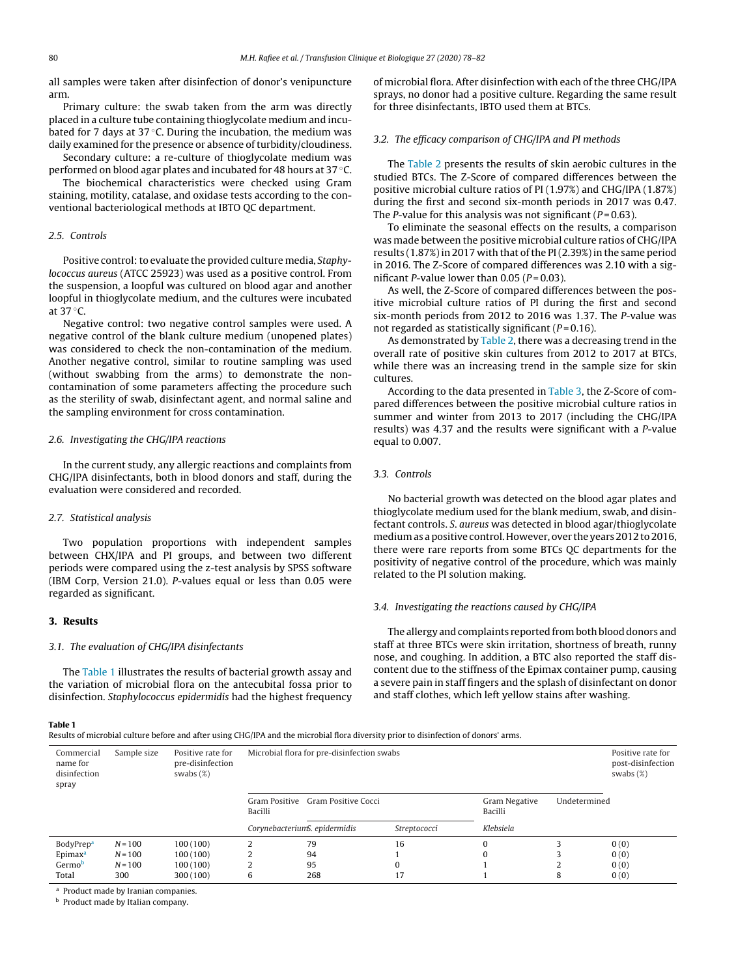all samples were taken after disinfection of donor's venipuncture arm.

Primary culture: the swab taken from the arm was directly placed in a culture tube containing thioglycolate medium and incubated for 7 days at 37 $\degree$ C. During the incubation, the medium was daily examined for the presence or absence of turbidity/cloudiness.

Secondary culture: a re-culture of thioglycolate medium was performed on blood agar plates and incubated for 48 hours at 37 ◦C.

The biochemical characteristics were checked using Gram staining, motility, catalase, and oxidase tests according to the conventional bacteriological methods at IBTO QC department.

#### 2.5. Controls

Positive control: to evaluate the provided culture media, Staphylococcus aureus (ATCC 25923) was used as a positive control. From the suspension, a loopful was cultured on blood agar and another loopful in thioglycolate medium, and the cultures were incubated at 37 ◦C.

Negative control: two negative control samples were used. A negative control of the blank culture medium (unopened plates) was considered to check the non-contamination of the medium. Another negative control, similar to routine sampling was used (without swabbing from the arms) to demonstrate the noncontamination of some parameters affecting the procedure such as the sterility of swab, disinfectant agent, and normal saline and the sampling environment for cross contamination.

#### 2.6. Investigating the CHG/IPA reactions

In the current study, any allergic reactions and complaints from CHG/IPA disinfectants, both in blood donors and staff, during the evaluation were considered and recorded.

### 2.7. Statistical analysis

Two population proportions with independent samples between CHX/IPA and PI groups, and between two different periods were compared using the z-test analysis by SPSS software (IBM Corp, Version 21.0). P-values equal or less than 0.05 were regarded as significant.

#### **3. Results**

#### 3.1. The evaluation of CHG/IPA disinfectants

The Table 1 illustrates the results of bacterial growth assay and the variation of microbial flora on the antecubital fossa prior to disinfection. Staphylococcus epidermidis had the highest frequency of microbial flora. After disinfection with each of the three CHG/IPA sprays, no donor had a positive culture. Regarding the same result for three disinfectants, IBTO used them at BTCs.

#### 3.2. The efficacy comparison of CHG/IPA and PI methods

The [Table](#page-3-0) 2 presents the results of skin aerobic cultures in the studied BTCs. The Z-Score of compared differences between the positive microbial culture ratios of PI (1.97%) and CHG/IPA (1.87%) during the first and second six-month periods in 2017 was 0.47. The P-value for this analysis was not significant ( $P = 0.63$ ).

To eliminate the seasonal effects on the results, a comparison was made between the positive microbial culture ratios of CHG/IPA results (1.87%) in 2017 with that of the PI (2.39%) in the same period in 2016. The Z-Score of compared differences was 2.10 with a significant P-value lower than  $0.05$  ( $P = 0.03$ ).

As well, the Z-Score of compared differences between the positive microbial culture ratios of PI during the first and second six-month periods from 2012 to 2016 was 1.37. The P-value was not regarded as statistically significant ( $P = 0.16$ ).

As demonstrated by [Table](#page-3-0) 2, there was a decreasing trend in the overall rate of positive skin cultures from 2012 to 2017 at BTCs, while there was an increasing trend in the sample size for skin cultures.

According to the data presented in [Table](#page-3-0) 3, the Z-Score of compared differences between the positive microbial culture ratios in summer and winter from 2013 to 2017 (including the CHG/IPA results) was 4.37 and the results were significant with a P-value equal to 0.007.

#### 3.3. Controls

No bacterial growth was detected on the blood agar plates and thioglycolate medium used for the blank medium, swab, and disinfectant controls. S. aureus was detected in blood agar/thioglycolate mediumas apositive control.However, over the years2012to 2016, there were rare reports from some BTCs QC departments for the positivity of negative control of the procedure, which was mainly related to the PI solution making.

#### 3.4. Investigating the reactions caused by CHG/IPA

The allergy and complaints reported from both blood donors and staff at three BTCs were skin irritation, shortness of breath, runny nose, and coughing. In addition, a BTC also reported the staff discontent due to the stiffness of the Epimax container pump, causing a severe pain in staff fingers and the splash of disinfectant on donor and staff clothes, which left yellow stains after washing.

#### **Table 1**

Results of microbial culture before and after using CHG/IPA and the microbial flora diversity prior to disinfection of donors' arms.

| Commercial<br>name for<br>disinfection<br>spray | Sample size | Positive rate for<br>pre-disinfection<br>swabs $(\%)$ | Microbial flora for pre-disinfection swabs      |                               | Positive rate for<br>post-disinfection<br>swabs $(\%)$ |              |   |      |
|-------------------------------------------------|-------------|-------------------------------------------------------|-------------------------------------------------|-------------------------------|--------------------------------------------------------|--------------|---|------|
|                                                 |             |                                                       | Gram Positive Cocci<br>Gram Positive<br>Bacilli |                               | Gram Negative<br>Bacilli                               | Undetermined |   |      |
|                                                 |             |                                                       |                                                 | CorynebacteriumS. epidermidis | Streptococci                                           | Klebsiela    |   |      |
| BodyPrep <sup>a</sup>                           | $N = 100$   | 100(100)                                              |                                                 | 79                            | 16                                                     | $\Omega$     |   | 0(0) |
| Epimax <sup>a</sup>                             | $N = 100$   | 100(100)                                              |                                                 | 94                            |                                                        | $\Omega$     |   | 0(0) |
| Germob                                          | $N = 100$   | 100(100)                                              | ົ                                               | 95                            | O                                                      |              |   | 0(0) |
| Total                                           | 300         | 300 (100)                                             | 6                                               | 268                           | 17                                                     |              | 8 | 0(0) |

<sup>a</sup> Product made by Iranian companies.

**b** Product made by Italian company.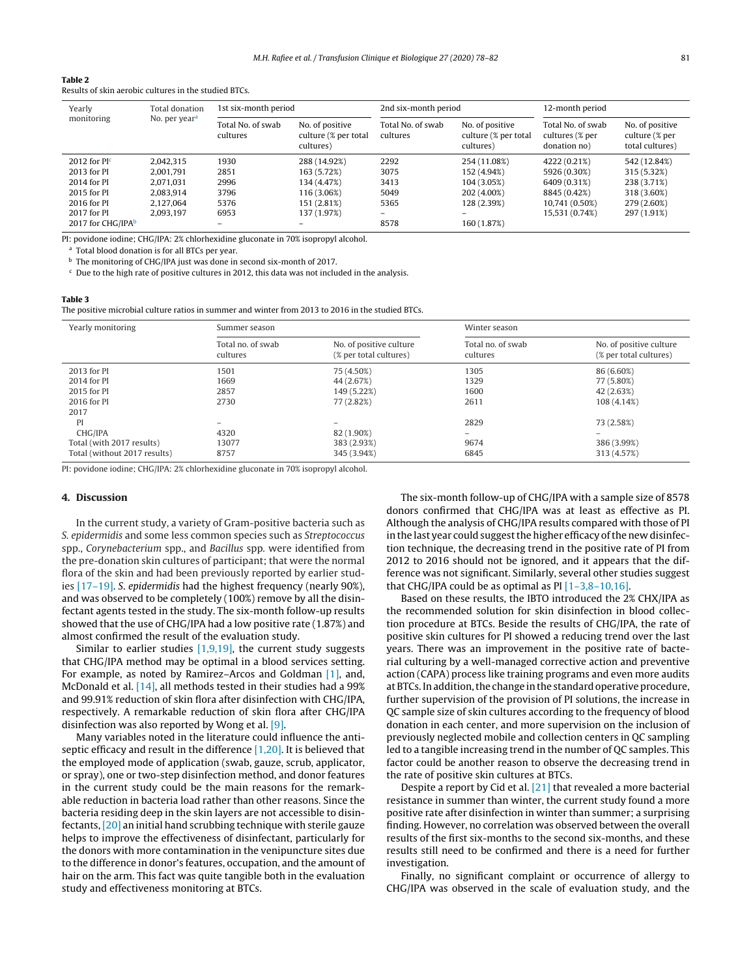<span id="page-3-0"></span>

Results of skin aerobic cultures in the studied BTCs.

| Yearly            | Total donation<br>No. per year <sup>a</sup> | 1st six-month period          |                                                      | 2nd six-month period          |                                                      | 12-month period                                      |                                                      |
|-------------------|---------------------------------------------|-------------------------------|------------------------------------------------------|-------------------------------|------------------------------------------------------|------------------------------------------------------|------------------------------------------------------|
| monitoring        |                                             | Total No. of swab<br>cultures | No. of positive<br>culture (% per total<br>cultures) | Total No. of swab<br>cultures | No. of positive<br>culture (% per total<br>cultures) | Total No. of swab<br>cultures (% per<br>donation no) | No. of positive<br>culture (% per<br>total cultures) |
| 2012 for $PIc$    | 2.042.315                                   | 1930                          | 288 (14.92%)                                         | 2292                          | 254 (11.08%)                                         | 4222 (0.21%)                                         | 542 (12.84%)                                         |
| 2013 for PI       | 2.001.791                                   | 2851                          | 163 (5.72%)                                          | 3075                          | 152 (4.94%)                                          | 5926 (0.30%)                                         | 315 (5.32%)                                          |
| 2014 for PI       | 2.071.031                                   | 2996                          | 134 (4.47%)                                          | 3413                          | 104 (3.05%)                                          | 6409 (0.31%)                                         | 238 (3.71%)                                          |
| 2015 for PI       | 2.083.914                                   | 3796                          | 116 (3.06%)                                          | 5049                          | 202 (4.00%)                                          | 8845 (0.42%)                                         | 318 (3.60%)                                          |
| 2016 for PI       | 2.127.064                                   | 5376                          | 151 (2.81%)                                          | 5365                          | 128 (2.39%)                                          | 10,741 (0.50%)                                       | 279 (2.60%)                                          |
| 2017 for PI       | 2.093.197                                   | 6953                          | 137 (1.97%)                                          | $\overline{\phantom{0}}$      |                                                      | 15,531 (0.74%)                                       | 297 (1.91%)                                          |
| 2017 for CHG/IPAb |                                             |                               |                                                      | 8578                          | 160 (1.87%)                                          |                                                      |                                                      |

PI: povidone iodine; CHG/IPA: 2% chlorhexidine gluconate in 70% isopropyl alcohol.

<sup>a</sup> Total blood donation is for all BTCs per year.

<sup>b</sup> The monitoring of CHG/IPA just was done in second six-month of 2017.

 $c$  Due to the high rate of positive cultures in 2012, this data was not included in the analysis.

#### **Table 3**

The positive microbial culture ratios in summer and winter from 2013 to 2016 in the studied BTCs.

| Yearly monitoring            | Summer season                 |                                                   | Winter season                 |                                                   |  |
|------------------------------|-------------------------------|---------------------------------------------------|-------------------------------|---------------------------------------------------|--|
|                              | Total no. of swab<br>cultures | No. of positive culture<br>(% per total cultures) | Total no. of swab<br>cultures | No. of positive culture<br>(% per total cultures) |  |
| 2013 for PI                  | 1501                          | 75 (4.50%)                                        | 1305                          | 86 (6.60%)                                        |  |
| 2014 for PI                  | 1669                          | 44 (2.67%)                                        | 1329                          | 77 (5.80%)                                        |  |
| 2015 for PI                  | 2857                          | 149 (5.22%)                                       | 1600                          | 42 (2.63%)                                        |  |
| 2016 for PI                  | 2730                          | 77 (2.82%)                                        | 2611                          | 108 (4.14%)                                       |  |
| 2017                         |                               |                                                   |                               |                                                   |  |
| PI                           | $\overline{\phantom{m}}$      | $\overline{\phantom{a}}$                          | 2829                          | 73 (2.58%)                                        |  |
| CHG/IPA                      | 4320                          | 82 (1.90%)                                        | -                             |                                                   |  |
| Total (with 2017 results)    | 13077                         | 383 (2.93%)                                       | 9674                          | 386 (3.99%)                                       |  |
| Total (without 2017 results) | 8757                          | 345 (3.94%)                                       | 6845                          | 313 (4.57%)                                       |  |

PI: povidone iodine; CHG/IPA: 2% chlorhexidine gluconate in 70% isopropyl alcohol.

#### **4. Discussion**

In the current study, a variety of Gram-positive bacteria such as S. epidermidis and some less common species such as Streptococcus spp., Corynebacterium spp., and Bacillus spp. were identified from the pre-donation skin cultures of participant; that were the normal flora of the skin and had been previously reported by earlier studies [\[17–19\].](#page-4-0) S. epidermidis had the highest frequency (nearly 90%), and was observed to be completely (100%) remove by all the disinfectant agents tested in the study. The six-month follow-up results showed that the use of CHG/IPA had a low positive rate (1.87%) and almost confirmed the result of the evaluation study.

Similar to earlier studies  $[1,9,19]$ , the current study suggests that CHG/IPA method may be optimal in a blood services setting. For example, as noted by Ramirez–Arcos and Goldman [\[1\],](#page-4-0) and, McDonald et al. [\[14\],](#page-4-0) all methods tested in their studies had a 99% and 99.91% reduction of skin flora after disinfection with CHG/IPA, respectively. A remarkable reduction of skin flora after CHG/IPA disinfection was also reported by Wong et al. [\[9\].](#page-4-0)

Many variables noted in the literature could influence the antiseptic efficacy and result in the difference [\[1,20\].](#page-4-0) It is believed that the employed mode of application (swab, gauze, scrub, applicator, or spray), one or two-step disinfection method, and donor features in the current study could be the main reasons for the remarkable reduction in bacteria load rather than other reasons. Since the bacteria residing deep in the skin layers are not accessible to disinfectants,[\[20\]](#page-4-0) an initial hand scrubbing technique with sterile gauze helps to improve the effectiveness of disinfectant, particularly for the donors with more contamination in the venipuncture sites due to the difference in donor's features, occupation, and the amount of hair on the arm. This fact was quite tangible both in the evaluation study and effectiveness monitoring at BTCs.

The six-month follow-up of CHG/IPA with a sample size of 8578 donors confirmed that CHG/IPA was at least as effective as PI. Although the analysis of CHG/IPA results compared with those of PI in the last year could suggest the higher efficacy of the new disinfection technique, the decreasing trend in the positive rate of PI from 2012 to 2016 should not be ignored, and it appears that the difference was not significant. Similarly, several other studies suggest that CHG/IPA could be as optimal as PI  $[1-3,8-10,16]$ .

Based on these results, the IBTO introduced the 2% CHX/IPA as the recommended solution for skin disinfection in blood collection procedure at BTCs. Beside the results of CHG/IPA, the rate of positive skin cultures for PI showed a reducing trend over the last years. There was an improvement in the positive rate of bacterial culturing by a well-managed corrective action and preventive action (CAPA) process like training programs and even more audits at BTCs. In addition, the change in the standard operative procedure, further supervision of the provision of PI solutions, the increase in QC sample size of skin cultures according to the frequency of blood donation in each center, and more supervision on the inclusion of previously neglected mobile and collection centers in QC sampling led to a tangible increasing trend in the number of QC samples. This factor could be another reason to observe the decreasing trend in the rate of positive skin cultures at BTCs.

Despite a report by Cid et al. [\[21\]](#page-4-0) that revealed a more bacterial resistance in summer than winter, the current study found a more positive rate after disinfection in winter than summer; a surprising finding. However, no correlation was observed between the overall results of the first six-months to the second six-months, and these results still need to be confirmed and there is a need for further investigation.

Finally, no significant complaint or occurrence of allergy to CHG/IPA was observed in the scale of evaluation study, and the